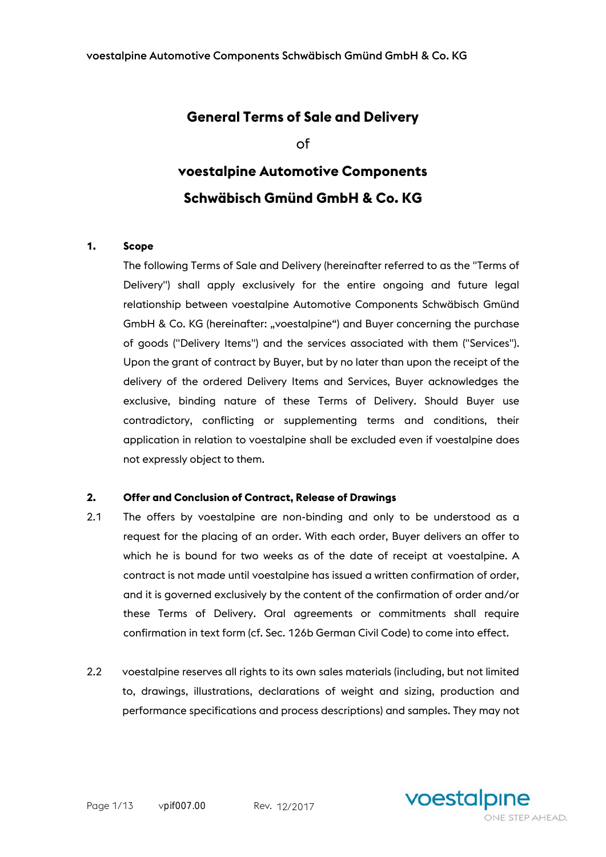# **General Terms of Sale and Delivery**

of

## **voestalpine Automotive Components Schwäbisch Gmünd GmbH & Co. KG**

### **1. Scope**

The following Terms of Sale and Delivery (hereinafter referred to as the "Terms of Delivery") shall apply exclusively for the entire ongoing and future legal relationship between voestalpine Automotive Components Schwäbisch Gmünd GmbH & Co. KG (hereinafter: "voestalpine") and Buyer concerning the purchase of goods ("Delivery Items") and the services associated with them ("Services"). Upon the grant of contract by Buyer, but by no later than upon the receipt of the delivery of the ordered Delivery Items and Services, Buyer acknowledges the exclusive, binding nature of these Terms of Delivery. Should Buyer use contradictory, conflicting or supplementing terms and conditions, their application in relation to voestalpine shall be excluded even if voestalpine does not expressly object to them.

#### **2. Offer and Conclusion of Contract, Release of Drawings**

- 2.1 The offers by voestalpine are non-binding and only to be understood as a request for the placing of an order. With each order, Buyer delivers an offer to which he is bound for two weeks as of the date of receipt at voestalpine. A contract is not made until voestalpine has issued a written confirmation of order, and it is governed exclusively by the content of the confirmation of order and/or these Terms of Delivery. Oral agreements or commitments shall require confirmation in text form (cf. Sec. 126b German Civil Code) to come into effect.
- 2.2 voestalpine reserves all rights to its own sales materials (including, but not limited to, drawings, illustrations, declarations of weight and sizing, production and performance specifications and process descriptions) and samples. They may not

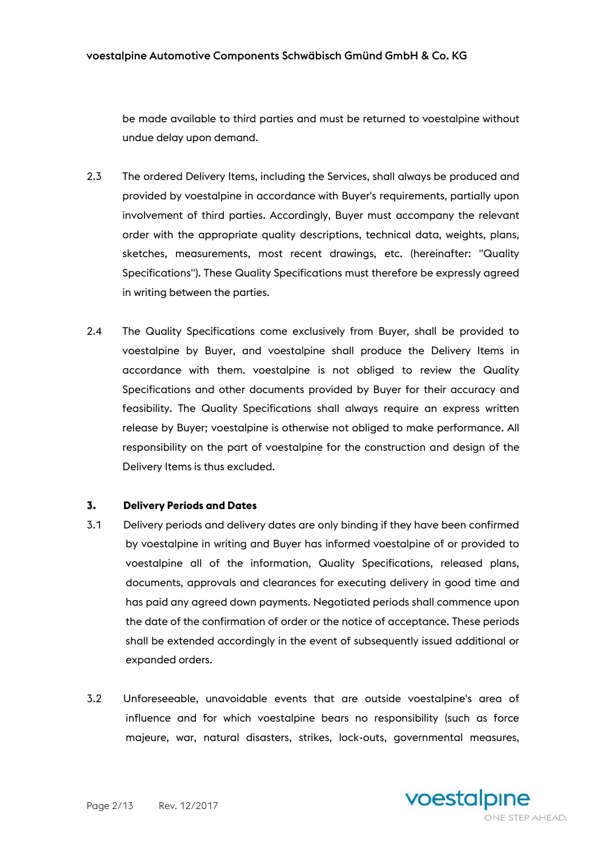be made available to third parties and must be returned to voestalpine without undue delay upon demand.

- 2.3 The ordered Delivery Items, including the Services, shall always be produced and provided by voestalpine in accordance with Buyer's requirements, partially upon involvement of third parties. Accordingly, Buyer must accompany the relevant order with the appropriate quality descriptions, technical data, weights, plans, sketches, measurements, most recent drawings, etc. (hereinafter: "Quality Specifications"). These Quality Specifications must therefore be expressly agreed in writing between the parties.
- 2.4 The Quality Specifications come exclusively from Buyer, shall be provided to voestalpine by Buyer, and voestalpine shall produce the Delivery Items in accordance with them. voestalpine is not obliged to review the Quality Specifications and other documents provided by Buyer for their accuracy and feasibility. The Quality Specifications shall always require an express written release by Buyer; voestalpine is otherwise not obliged to make performance. All responsibility on the part of voestalpine for the construction and design of the Delivery Items is thus excluded.

### **3. Delivery Periods and Dates**

- 3.1 Delivery periods and delivery dates are only binding if they have been confirmed by voestalpine in writing and Buyer has informed voestalpine of or provided to voestalpine all of the information, Quality Specifications, released plans, documents, approvals and clearances for executing delivery in good time and has paid any agreed down payments. Negotiated periods shall commence upon the date of the confirmation of order or the notice of acceptance. These periods shall be extended accordingly in the event of subsequently issued additional or expanded orders.
- 3.2 Unforeseeable, unavoidable events that are outside voestalpine's area of influence and for which voestalpine bears no responsibility (such as force majeure, war, natural disasters, strikes, lock-outs, governmental measures,

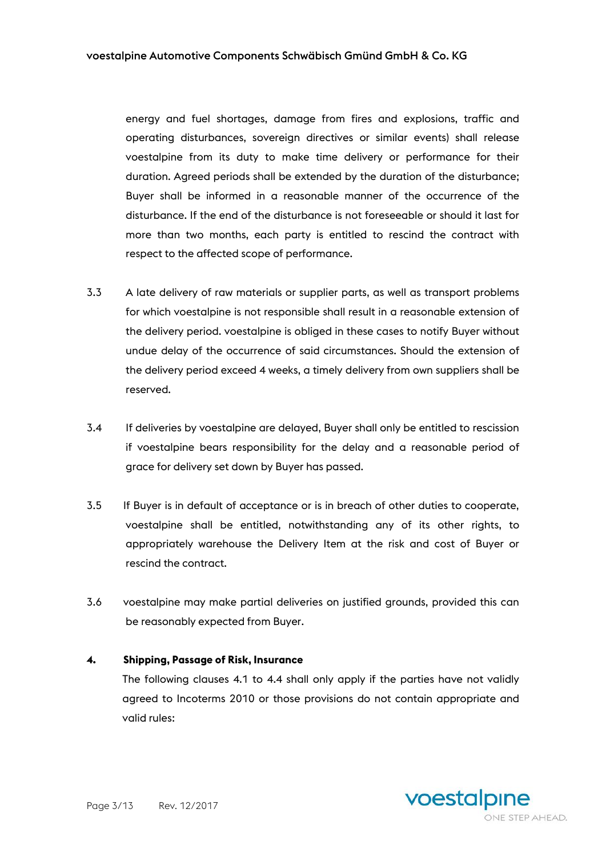energy and fuel shortages, damage from fires and explosions, traffic and operating disturbances, sovereign directives or similar events) shall release voestalpine from its duty to make time delivery or performance for their duration. Agreed periods shall be extended by the duration of the disturbance; Buyer shall be informed in a reasonable manner of the occurrence of the disturbance. If the end of the disturbance is not foreseeable or should it last for more than two months, each party is entitled to rescind the contract with respect to the affected scope of performance.

- 3.3 A late delivery of raw materials or supplier parts, as well as transport problems for which voestalpine is not responsible shall result in a reasonable extension of the delivery period. voestalpine is obliged in these cases to notify Buyer without undue delay of the occurrence of said circumstances. Should the extension of the delivery period exceed 4 weeks, a timely delivery from own suppliers shall be reserved.
- 3.4 If deliveries by voestalpine are delayed, Buyer shall only be entitled to rescission if voestalpine bears responsibility for the delay and a reasonable period of grace for delivery set down by Buyer has passed.
- 3.5 If Buyer is in default of acceptance or is in breach of other duties to cooperate, voestalpine shall be entitled, notwithstanding any of its other rights, to appropriately warehouse the Delivery Item at the risk and cost of Buyer or rescind the contract.
- 3.6 voestalpine may make partial deliveries on justified grounds, provided this can be reasonably expected from Buyer.

#### **4. Shipping, Passage of Risk, Insurance**

The following clauses 4.1 to 4.4 shall only apply if the parties have not validly agreed to Incoterms 2010 or those provisions do not contain appropriate and valid rules:

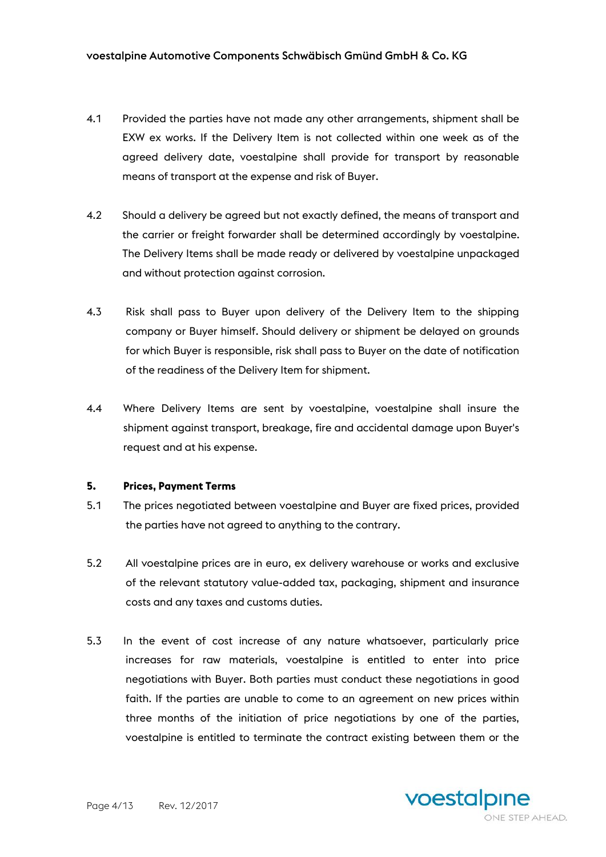- 4.1 Provided the parties have not made any other arrangements, shipment shall be EXW ex works. If the Delivery Item is not collected within one week as of the agreed delivery date, voestalpine shall provide for transport by reasonable means of transport at the expense and risk of Buyer.
- 4.2 Should a delivery be agreed but not exactly defined, the means of transport and the carrier or freight forwarder shall be determined accordingly by voestalpine. The Delivery Items shall be made ready or delivered by voestalpine unpackaged and without protection against corrosion.
- 4.3 Risk shall pass to Buyer upon delivery of the Delivery Item to the shipping company or Buyer himself. Should delivery or shipment be delayed on grounds for which Buyer is responsible, risk shall pass to Buyer on the date of notification of the readiness of the Delivery Item for shipment.
- 4.4 Where Delivery Items are sent by voestalpine, voestalpine shall insure the shipment against transport, breakage, fire and accidental damage upon Buyer's request and at his expense.

#### **5. Prices, Payment Terms**

- 5.1 The prices negotiated between voestalpine and Buyer are fixed prices, provided the parties have not agreed to anything to the contrary.
- 5.2 All voestalpine prices are in euro, ex delivery warehouse or works and exclusive of the relevant statutory value-added tax, packaging, shipment and insurance costs and any taxes and customs duties.
- 5.3 In the event of cost increase of any nature whatsoever, particularly price increases for raw materials, voestalpine is entitled to enter into price negotiations with Buyer. Both parties must conduct these negotiations in good faith. If the parties are unable to come to an agreement on new prices within three months of the initiation of price negotiations by one of the parties, voestalpine is entitled to terminate the contract existing between them or the

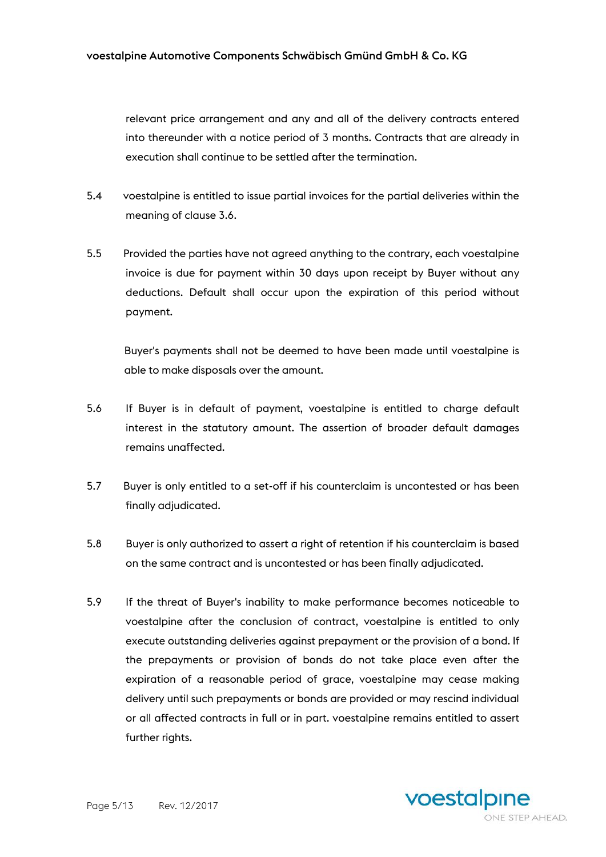relevant price arrangement and any and all of the delivery contracts entered into thereunder with a notice period of 3 months. Contracts that are already in execution shall continue to be settled after the termination.

- 5.4 voestalpine is entitled to issue partial invoices for the partial deliveries within the meaning of clause 3.6.
- 5.5 Provided the parties have not agreed anything to the contrary, each voestalpine invoice is due for payment within 30 days upon receipt by Buyer without any deductions. Default shall occur upon the expiration of this period without payment.

Buyer's payments shall not be deemed to have been made until voestalpine is able to make disposals over the amount.

- 5.6 If Buyer is in default of payment, voestalpine is entitled to charge default interest in the statutory amount. The assertion of broader default damages remains unaffected.
- 5.7 Buyer is only entitled to a set-off if his counterclaim is uncontested or has been finally adjudicated.
- 5.8 Buyer is only authorized to assert a right of retention if his counterclaim is based on the same contract and is uncontested or has been finally adjudicated.
- 5.9 If the threat of Buyer's inability to make performance becomes noticeable to voestalpine after the conclusion of contract, voestalpine is entitled to only execute outstanding deliveries against prepayment or the provision of a bond. If the prepayments or provision of bonds do not take place even after the expiration of a reasonable period of grace, voestalpine may cease making delivery until such prepayments or bonds are provided or may rescind individual or all affected contracts in full or in part. voestalpine remains entitled to assert further rights.

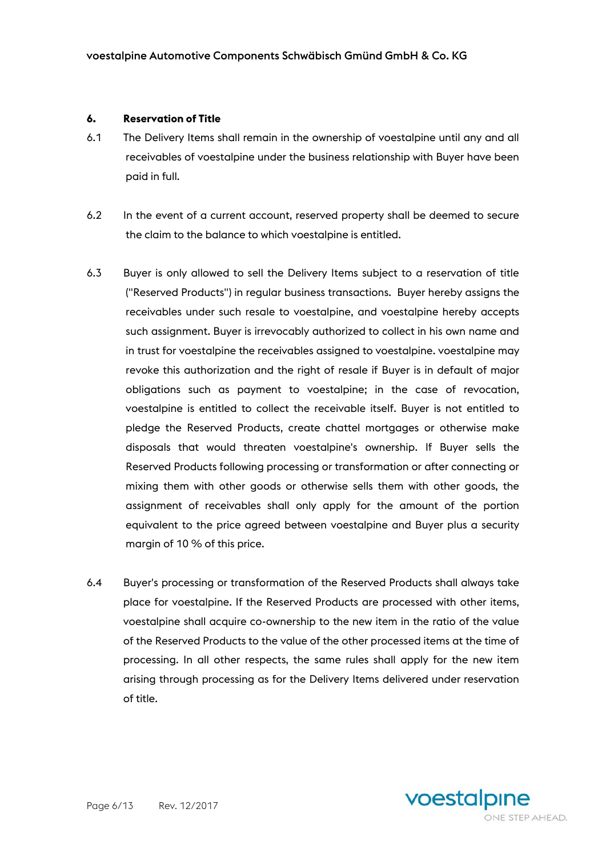#### **6. Reservation of Title**

- 6.1 The Delivery Items shall remain in the ownership of voestalpine until any and all receivables of voestalpine under the business relationship with Buyer have been paid in full.
- 6.2 In the event of a current account, reserved property shall be deemed to secure the claim to the balance to which voestalpine is entitled.
- 6.3 Buyer is only allowed to sell the Delivery Items subject to a reservation of title ("Reserved Products") in regular business transactions. Buyer hereby assigns the receivables under such resale to voestalpine, and voestalpine hereby accepts such assignment. Buyer is irrevocably authorized to collect in his own name and in trust for voestalpine the receivables assigned to voestalpine. voestalpine may revoke this authorization and the right of resale if Buyer is in default of major obligations such as payment to voestalpine; in the case of revocation, voestalpine is entitled to collect the receivable itself. Buyer is not entitled to pledge the Reserved Products, create chattel mortgages or otherwise make disposals that would threaten voestalpine's ownership. If Buyer sells the Reserved Products following processing or transformation or after connecting or mixing them with other goods or otherwise sells them with other goods, the assignment of receivables shall only apply for the amount of the portion equivalent to the price agreed between voestalpine and Buyer plus a security margin of 10 % of this price.
- 6.4 Buyer's processing or transformation of the Reserved Products shall always take place for voestalpine. If the Reserved Products are processed with other items, voestalpine shall acquire co-ownership to the new item in the ratio of the value of the Reserved Products to the value of the other processed items at the time of processing. In all other respects, the same rules shall apply for the new item arising through processing as for the Delivery Items delivered under reservation of title.

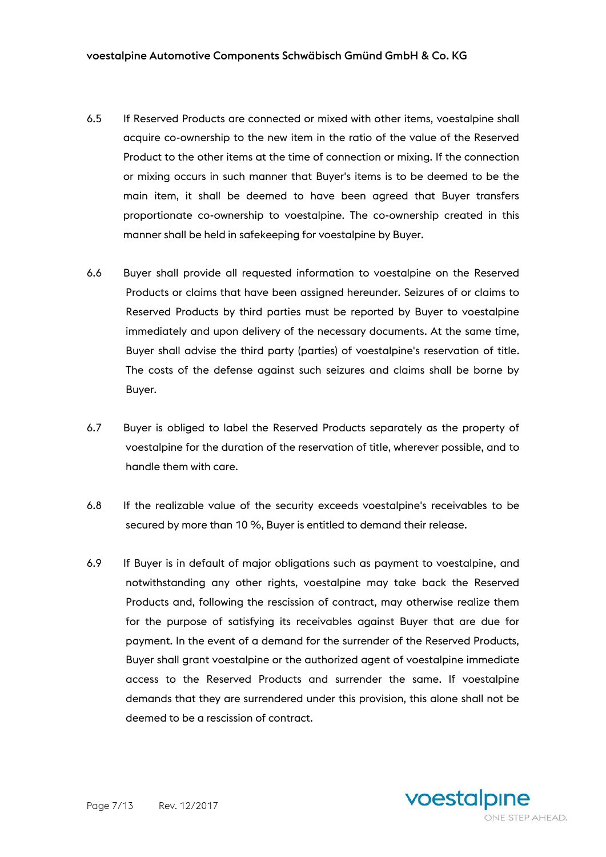- 6.5 If Reserved Products are connected or mixed with other items, voestalpine shall acquire co-ownership to the new item in the ratio of the value of the Reserved Product to the other items at the time of connection or mixing. If the connection or mixing occurs in such manner that Buyer's items is to be deemed to be the main item, it shall be deemed to have been agreed that Buyer transfers proportionate co-ownership to voestalpine. The co-ownership created in this manner shall be held in safekeeping for voestalpine by Buyer.
- 6.6 Buyer shall provide all requested information to voestalpine on the Reserved Products or claims that have been assigned hereunder. Seizures of or claims to Reserved Products by third parties must be reported by Buyer to voestalpine immediately and upon delivery of the necessary documents. At the same time, Buyer shall advise the third party (parties) of voestalpine's reservation of title. The costs of the defense against such seizures and claims shall be borne by Buyer.
- 6.7 Buyer is obliged to label the Reserved Products separately as the property of voestalpine for the duration of the reservation of title, wherever possible, and to handle them with care.
- 6.8 If the realizable value of the security exceeds voestalpine's receivables to be secured by more than 10 %, Buyer is entitled to demand their release.
- 6.9 If Buyer is in default of major obligations such as payment to voestalpine, and notwithstanding any other rights, voestalpine may take back the Reserved Products and, following the rescission of contract, may otherwise realize them for the purpose of satisfying its receivables against Buyer that are due for payment. In the event of a demand for the surrender of the Reserved Products, Buyer shall grant voestalpine or the authorized agent of voestalpine immediate access to the Reserved Products and surrender the same. If voestalpine demands that they are surrendered under this provision, this alone shall not be deemed to be a rescission of contract.

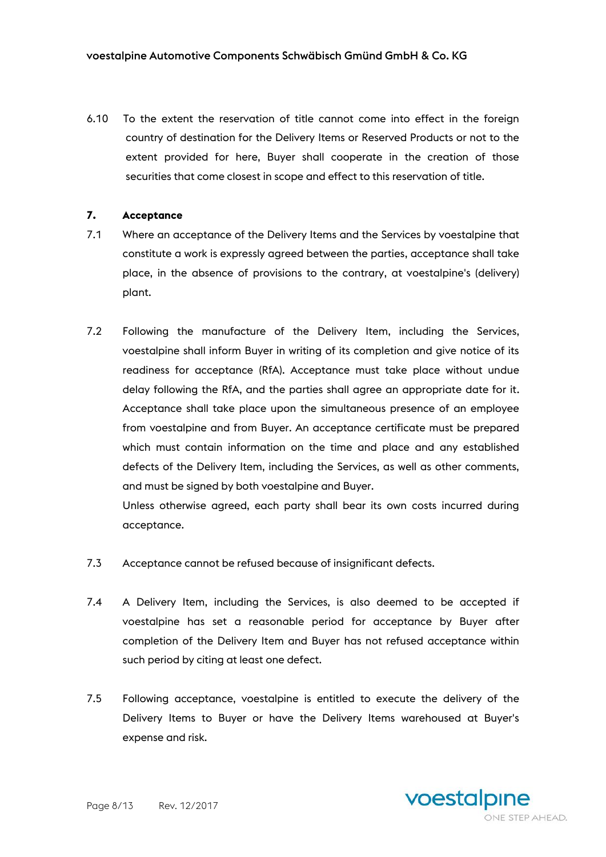6.10 To the extent the reservation of title cannot come into effect in the foreign country of destination for the Delivery Items or Reserved Products or not to the extent provided for here, Buyer shall cooperate in the creation of those securities that come closest in scope and effect to this reservation of title.

#### **7. Acceptance**

- 7.1 Where an acceptance of the Delivery Items and the Services by voestalpine that constitute a work is expressly agreed between the parties, acceptance shall take place, in the absence of provisions to the contrary, at voestalpine's (delivery) plant.
- 7.2 Following the manufacture of the Delivery Item, including the Services, voestalpine shall inform Buyer in writing of its completion and give notice of its readiness for acceptance (RfA). Acceptance must take place without undue delay following the RfA, and the parties shall agree an appropriate date for it. Acceptance shall take place upon the simultaneous presence of an employee from voestalpine and from Buyer. An acceptance certificate must be prepared which must contain information on the time and place and any established defects of the Delivery Item, including the Services, as well as other comments, and must be signed by both voestalpine and Buyer.

Unless otherwise agreed, each party shall bear its own costs incurred during acceptance.

- 7.3 Acceptance cannot be refused because of insignificant defects.
- 7.4 A Delivery Item, including the Services, is also deemed to be accepted if voestalpine has set a reasonable period for acceptance by Buyer after completion of the Delivery Item and Buyer has not refused acceptance within such period by citing at least one defect.
- 7.5 Following acceptance, voestalpine is entitled to execute the delivery of the Delivery Items to Buyer or have the Delivery Items warehoused at Buyer's expense and risk.

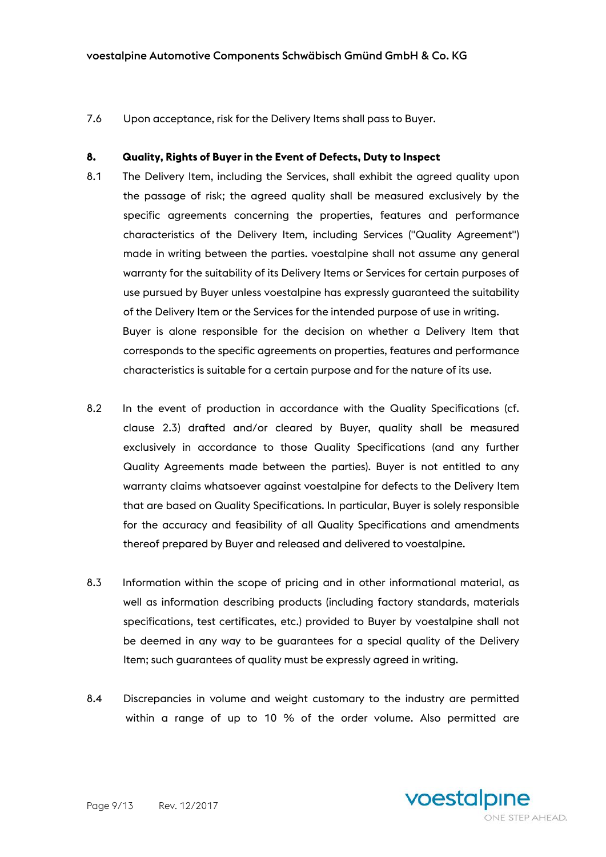7.6 Upon acceptance, risk for the Delivery Items shall pass to Buyer.

#### **8. Quality, Rights of Buyer in the Event of Defects, Duty to Inspect**

- 8.1 The Delivery Item, including the Services, shall exhibit the agreed quality upon the passage of risk; the agreed quality shall be measured exclusively by the specific agreements concerning the properties, features and performance characteristics of the Delivery Item, including Services ("Quality Agreement") made in writing between the parties. voestalpine shall not assume any general warranty for the suitability of its Delivery Items or Services for certain purposes of use pursued by Buyer unless voestalpine has expressly guaranteed the suitability of the Delivery Item or the Services for the intended purpose of use in writing. Buyer is alone responsible for the decision on whether a Delivery Item that corresponds to the specific agreements on properties, features and performance characteristics is suitable for a certain purpose and for the nature of its use.
- 8.2 In the event of production in accordance with the Quality Specifications (cf. clause 2.3) drafted and/or cleared by Buyer, quality shall be measured exclusively in accordance to those Quality Specifications (and any further Quality Agreements made between the parties). Buyer is not entitled to any warranty claims whatsoever against voestalpine for defects to the Delivery Item that are based on Quality Specifications. In particular, Buyer is solely responsible for the accuracy and feasibility of all Quality Specifications and amendments thereof prepared by Buyer and released and delivered to voestalpine.
- 8.3 Information within the scope of pricing and in other informational material, as well as information describing products (including factory standards, materials specifications, test certificates, etc.) provided to Buyer by voestalpine shall not be deemed in any way to be guarantees for a special quality of the Delivery Item; such guarantees of quality must be expressly agreed in writing.
- 8.4 Discrepancies in volume and weight customary to the industry are permitted within a range of up to 10 % of the order volume. Also permitted are

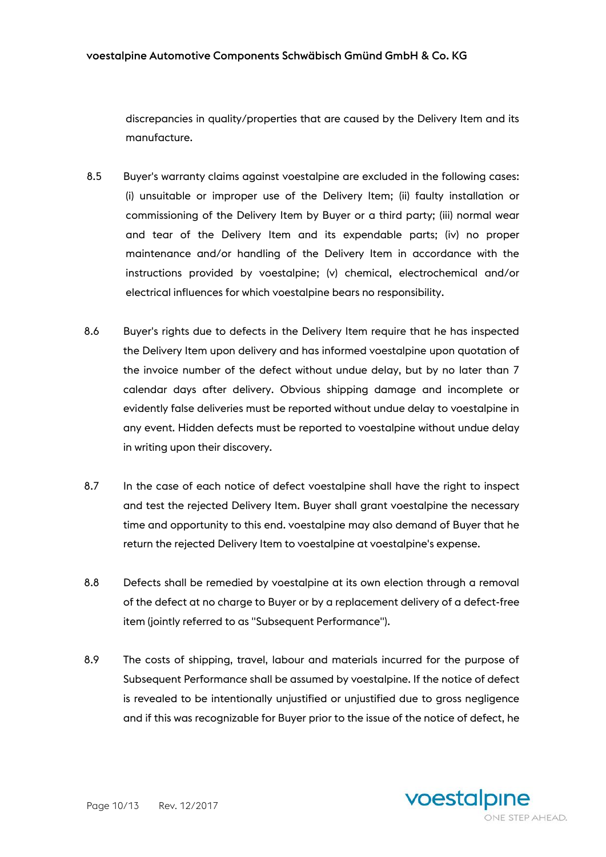discrepancies in quality/properties that are caused by the Delivery Item and its manufacture.

- 8.5 Buyer's warranty claims against voestalpine are excluded in the following cases: (i) unsuitable or improper use of the Delivery Item; (ii) faulty installation or commissioning of the Delivery Item by Buyer or a third party; (iii) normal wear and tear of the Delivery Item and its expendable parts; (iv) no proper maintenance and/or handling of the Delivery Item in accordance with the instructions provided by voestalpine; (v) chemical, electrochemical and/or electrical influences for which voestalpine bears no responsibility.
- 8.6 Buyer's rights due to defects in the Delivery Item require that he has inspected the Delivery Item upon delivery and has informed voestalpine upon quotation of the invoice number of the defect without undue delay, but by no later than 7 calendar days after delivery. Obvious shipping damage and incomplete or evidently false deliveries must be reported without undue delay to voestalpine in any event. Hidden defects must be reported to voestalpine without undue delay in writing upon their discovery.
- 8.7 In the case of each notice of defect voestalpine shall have the right to inspect and test the rejected Delivery Item. Buyer shall grant voestalpine the necessary time and opportunity to this end. voestalpine may also demand of Buyer that he return the rejected Delivery Item to voestalpine at voestalpine's expense.
- 8.8 Defects shall be remedied by voestalpine at its own election through a removal of the defect at no charge to Buyer or by a replacement delivery of a defect-free item (jointly referred to as "Subsequent Performance").
- 8.9 The costs of shipping, travel, labour and materials incurred for the purpose of Subsequent Performance shall be assumed by voestalpine. If the notice of defect is revealed to be intentionally unjustified or unjustified due to gross negligence and if this was recognizable for Buyer prior to the issue of the notice of defect, he

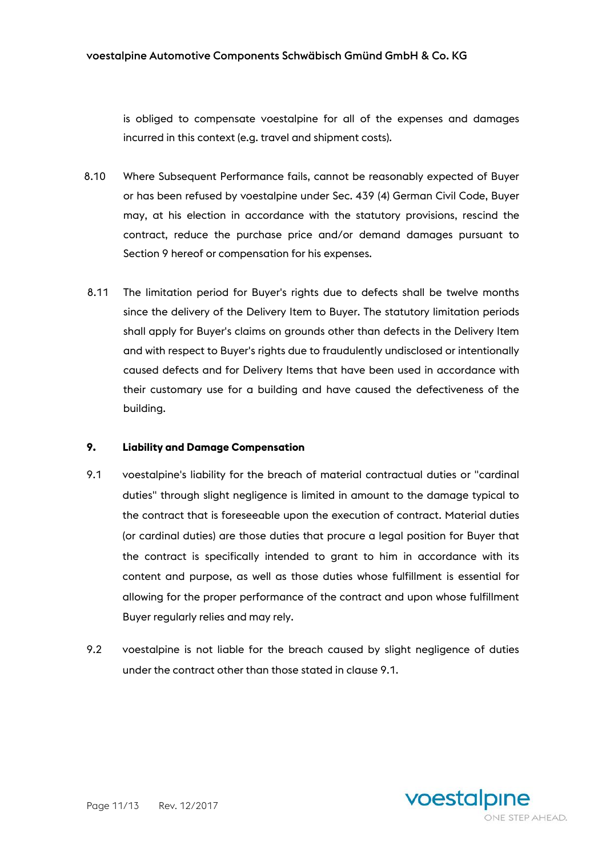is obliged to compensate voestalpine for all of the expenses and damages incurred in this context (e.g. travel and shipment costs).

- 8.10 Where Subsequent Performance fails, cannot be reasonably expected of Buyer or has been refused by voestalpine under Sec. 439 (4) German Civil Code, Buyer may, at his election in accordance with the statutory provisions, rescind the contract, reduce the purchase price and/or demand damages pursuant to Section 9 hereof or compensation for his expenses.
- 8.11 The limitation period for Buyer's rights due to defects shall be twelve months since the delivery of the Delivery Item to Buyer. The statutory limitation periods shall apply for Buyer's claims on grounds other than defects in the Delivery Item and with respect to Buyer's rights due to fraudulently undisclosed or intentionally caused defects and for Delivery Items that have been used in accordance with their customary use for a building and have caused the defectiveness of the building.

#### **9. Liability and Damage Compensation**

- 9.1 voestalpine's liability for the breach of material contractual duties or "cardinal duties" through slight negligence is limited in amount to the damage typical to the contract that is foreseeable upon the execution of contract. Material duties (or cardinal duties) are those duties that procure a legal position for Buyer that the contract is specifically intended to grant to him in accordance with its content and purpose, as well as those duties whose fulfillment is essential for allowing for the proper performance of the contract and upon whose fulfillment Buyer regularly relies and may rely.
- 9.2 voestalpine is not liable for the breach caused by slight negligence of duties under the contract other than those stated in clause 9.1.

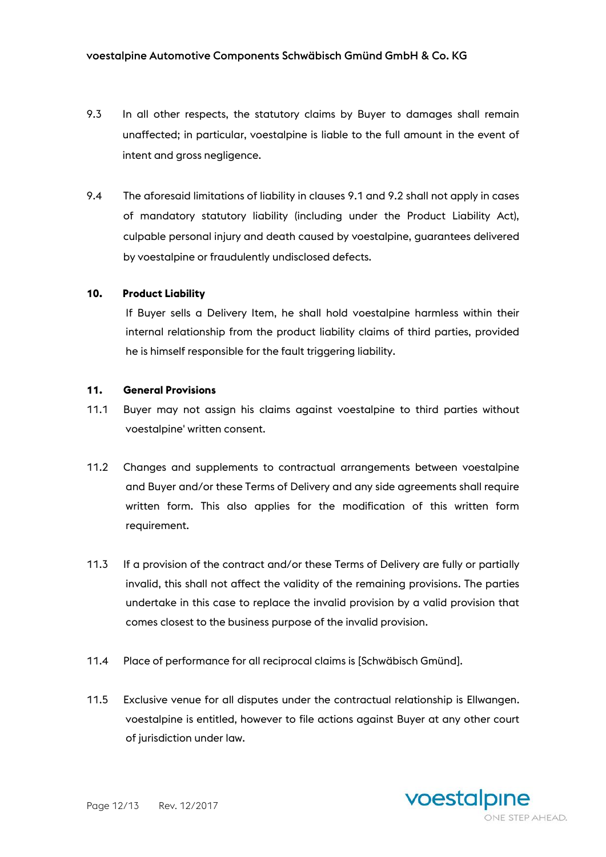- 9.3 In all other respects, the statutory claims by Buyer to damages shall remain unaffected; in particular, voestalpine is liable to the full amount in the event of intent and gross negligence.
- 9.4 The aforesaid limitations of liability in clauses 9.1 and 9.2 shall not apply in cases of mandatory statutory liability (including under the Product Liability Act), culpable personal injury and death caused by voestalpine, guarantees delivered by voestalpine or fraudulently undisclosed defects.

#### **10. Product Liability**

If Buyer sells a Delivery Item, he shall hold voestalpine harmless within their internal relationship from the product liability claims of third parties, provided he is himself responsible for the fault triggering liability.

#### **11. General Provisions**

- 11.1 Buyer may not assign his claims against voestalpine to third parties without voestalpine' written consent.
- 11.2 Changes and supplements to contractual arrangements between voestalpine and Buyer and/or these Terms of Delivery and any side agreements shall require written form. This also applies for the modification of this written form requirement.
- 11.3 If a provision of the contract and/or these Terms of Delivery are fully or partially invalid, this shall not affect the validity of the remaining provisions. The parties undertake in this case to replace the invalid provision by a valid provision that comes closest to the business purpose of the invalid provision.
- 11.4 Place of performance for all reciprocal claims is [Schwäbisch Gmünd].
- 11.5 Exclusive venue for all disputes under the contractual relationship is Ellwangen. voestalpine is entitled, however to file actions against Buyer at any other court of jurisdiction under law.